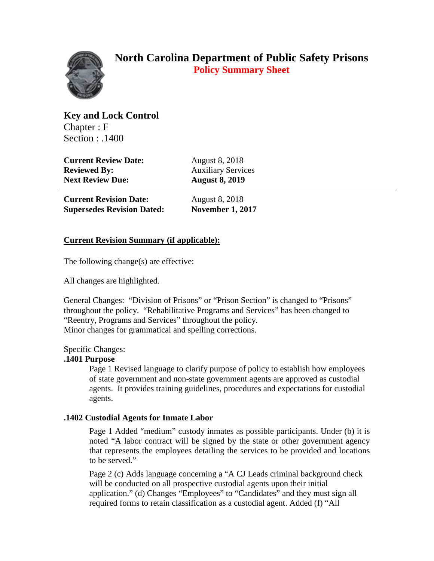

# **North Carolina Department of Public Safety Prisons Policy Summary Sheet**

**Key and Lock Control** Chapter : F Section : .1400

**Current Review Date:** August 8, 2018 **Reviewed By:** Auxiliary Services **Next Review Due: August 8, 2019**

**Current Revision Date:** August 8, 2018 **Supersedes Revision Dated: November 1, 2017**

## **Current Revision Summary (if applicable):**

The following change(s) are effective:

All changes are highlighted.

General Changes: "Division of Prisons" or "Prison Section" is changed to "Prisons" throughout the policy. "Rehabilitative Programs and Services" has been changed to "Reentry, Programs and Services" throughout the policy. Minor changes for grammatical and spelling corrections.

## Specific Changes:

### **.1401 Purpose**

Page 1 Revised language to clarify purpose of policy to establish how employees of state government and non-state government agents are approved as custodial agents. It provides training guidelines, procedures and expectations for custodial agents.

### **.1402 Custodial Agents for Inmate Labor**

Page 1 Added "medium" custody inmates as possible participants. Under (b) it is noted "A labor contract will be signed by the state or other government agency that represents the employees detailing the services to be provided and locations to be served."

Page 2 (c) Adds language concerning a "A CJ Leads criminal background check will be conducted on all prospective custodial agents upon their initial application." (d) Changes "Employees" to "Candidates" and they must sign all required forms to retain classification as a custodial agent. Added (f) "All